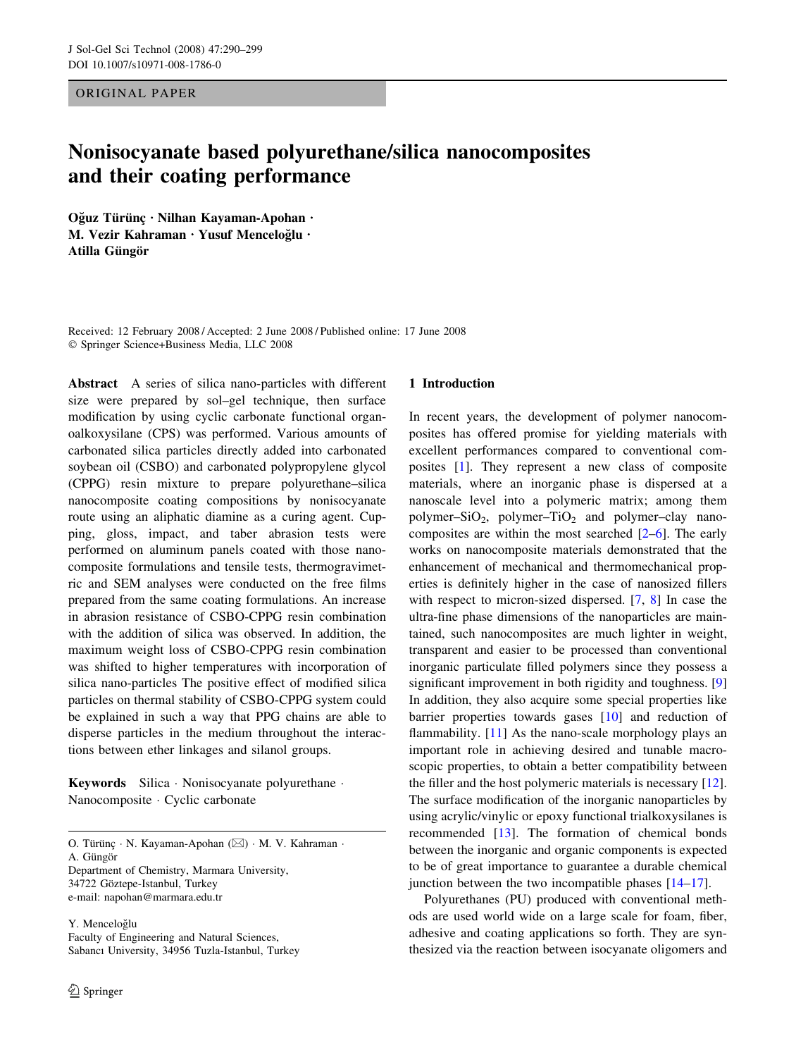ORIGINAL PAPER

# Nonisocyanate based polyurethane/silica nanocomposites and their coating performance

Oğuz Türünç · Nilhan Kayaman-Apohan · M. Vezir Kahraman · Yusuf Menceloğlu · Atilla Güngör

Received: 12 February 2008 / Accepted: 2 June 2008 / Published online: 17 June 2008 Springer Science+Business Media, LLC 2008

Abstract A series of silica nano-particles with different size were prepared by sol–gel technique, then surface modification by using cyclic carbonate functional organoalkoxysilane (CPS) was performed. Various amounts of carbonated silica particles directly added into carbonated soybean oil (CSBO) and carbonated polypropylene glycol (CPPG) resin mixture to prepare polyurethane–silica nanocomposite coating compositions by nonisocyanate route using an aliphatic diamine as a curing agent. Cupping, gloss, impact, and taber abrasion tests were performed on aluminum panels coated with those nanocomposite formulations and tensile tests, thermogravimetric and SEM analyses were conducted on the free films prepared from the same coating formulations. An increase in abrasion resistance of CSBO-CPPG resin combination with the addition of silica was observed. In addition, the maximum weight loss of CSBO-CPPG resin combination was shifted to higher temperatures with incorporation of silica nano-particles The positive effect of modified silica particles on thermal stability of CSBO-CPPG system could be explained in such a way that PPG chains are able to disperse particles in the medium throughout the interactions between ether linkages and silanol groups.

Keywords Silica · Nonisocyanate polyurethane · Nanocomposite · Cyclic carbonate

O. Türünç · N. Kayaman-Apohan (⊠) · M. V. Kahraman ·

A. Güngör

Department of Chemistry, Marmara University, 34722 Göztepe-Istanbul, Turkey

e-mail: napohan@marmara.edu.tr

Y. Menceloğlu Faculty of Engineering and Natural Sciences, Sabancı University, 34956 Tuzla-Istanbul, Turkey

## 1 Introduction

In recent years, the development of polymer nanocomposites has offered promise for yielding materials with excellent performances compared to conventional composites [\[1](#page-9-0)]. They represent a new class of composite materials, where an inorganic phase is dispersed at a nanoscale level into a polymeric matrix; among them polymer– $SiO<sub>2</sub>$ , polymer– $TiO<sub>2</sub>$  and polymer–clay nanocomposites are within the most searched [[2–6\]](#page-9-0). The early works on nanocomposite materials demonstrated that the enhancement of mechanical and thermomechanical properties is definitely higher in the case of nanosized fillers with respect to micron-sized dispersed. [\[7](#page-9-0), [8\]](#page-9-0) In case the ultra-fine phase dimensions of the nanoparticles are maintained, such nanocomposites are much lighter in weight, transparent and easier to be processed than conventional inorganic particulate filled polymers since they possess a significant improvement in both rigidity and toughness. [[9\]](#page-9-0) In addition, they also acquire some special properties like barrier properties towards gases [[10\]](#page-9-0) and reduction of flammability.  $[11]$  $[11]$  As the nano-scale morphology plays an important role in achieving desired and tunable macroscopic properties, to obtain a better compatibility between the filler and the host polymeric materials is necessary [\[12](#page-9-0)]. The surface modification of the inorganic nanoparticles by using acrylic/vinylic or epoxy functional trialkoxysilanes is recommended [[13\]](#page-9-0). The formation of chemical bonds between the inorganic and organic components is expected to be of great importance to guarantee a durable chemical junction between the two incompatible phases  $[14–17]$  $[14–17]$ .

Polyurethanes (PU) produced with conventional methods are used world wide on a large scale for foam, fiber, adhesive and coating applications so forth. They are synthesized via the reaction between isocyanate oligomers and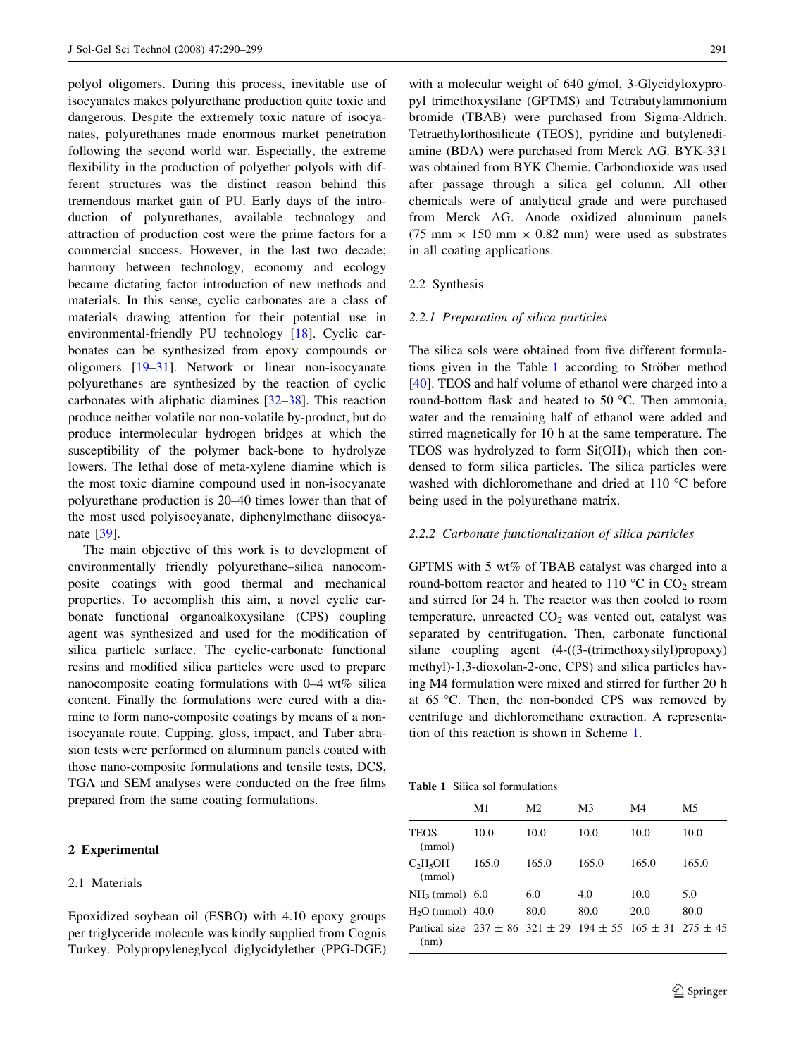<span id="page-1-0"></span>polyol oligomers. During this process, inevitable use of isocyanates makes polyurethane production quite toxic and dangerous. Despite the extremely toxic nature of isocyanates, polyurethanes made enormous market penetration following the second world war. Especially, the extreme flexibility in the production of polyether polyols with different structures was the distinct reason behind this tremendous market gain of PU. Early days of the introduction of polyurethanes, available technology and attraction of production cost were the prime factors for a commercial success. However, in the last two decade; harmony between technology, economy and ecology became dictating factor introduction of new methods and materials. In this sense, cyclic carbonates are a class of materials drawing attention for their potential use in environmental-friendly PU technology [[18\]](#page-9-0). Cyclic carbonates can be synthesized from epoxy compounds or oligomers [[19–31\]](#page-9-0). Network or linear non-isocyanate polyurethanes are synthesized by the reaction of cyclic carbonates with aliphatic diamines [[32–38\]](#page-9-0). This reaction produce neither volatile nor non-volatile by-product, but do produce intermolecular hydrogen bridges at which the susceptibility of the polymer back-bone to hydrolyze lowers. The lethal dose of meta-xylene diamine which is the most toxic diamine compound used in non-isocyanate polyurethane production is 20–40 times lower than that of the most used polyisocyanate, diphenylmethane diisocyanate [\[39](#page-9-0)].

The main objective of this work is to development of environmentally friendly polyurethane–silica nanocomposite coatings with good thermal and mechanical properties. To accomplish this aim, a novel cyclic carbonate functional organoalkoxysilane (CPS) coupling agent was synthesized and used for the modification of silica particle surface. The cyclic-carbonate functional resins and modified silica particles were used to prepare nanocomposite coating formulations with 0–4 wt% silica content. Finally the formulations were cured with a diamine to form nano-composite coatings by means of a nonisocyanate route. Cupping, gloss, impact, and Taber abrasion tests were performed on aluminum panels coated with those nano-composite formulations and tensile tests, DCS, TGA and SEM analyses were conducted on the free films prepared from the same coating formulations.

### 2 Experimental

# 2.1 Materials

Epoxidized soybean oil (ESBO) with 4.10 epoxy groups per triglyceride molecule was kindly supplied from Cognis Turkey. Polypropyleneglycol diglycidylether (PPG-DGE)

with a molecular weight of 640 g/mol, 3-Glycidyloxypropyl trimethoxysilane (GPTMS) and Tetrabutylammonium bromide (TBAB) were purchased from Sigma-Aldrich. Tetraethylorthosilicate (TEOS), pyridine and butylenediamine (BDA) were purchased from Merck AG. BYK-331 was obtained from BYK Chemie. Carbondioxide was used after passage through a silica gel column. All other chemicals were of analytical grade and were purchased from Merck AG. Anode oxidized aluminum panels (75 mm  $\times$  150 mm  $\times$  0.82 mm) were used as substrates in all coating applications.

### 2.2 Synthesis

### 2.2.1 Preparation of silica particles

The silica sols were obtained from five different formulations given in the Table 1 according to Ströber method [\[40](#page-9-0)]. TEOS and half volume of ethanol were charged into a round-bottom flask and heated to 50  $^{\circ}$ C. Then ammonia, water and the remaining half of ethanol were added and stirred magnetically for 10 h at the same temperature. The TEOS was hydrolyzed to form  $Si(OH)_4$  which then condensed to form silica particles. The silica particles were washed with dichloromethane and dried at 110 °C before being used in the polyurethane matrix.

### 2.2.2 Carbonate functionalization of silica particles

GPTMS with 5 wt% of TBAB catalyst was charged into a round-bottom reactor and heated to  $110\text{ °C}$  in  $CO_2$  stream and stirred for 24 h. The reactor was then cooled to room temperature, unreacted  $CO<sub>2</sub>$  was vented out, catalyst was separated by centrifugation. Then, carbonate functional silane coupling agent (4-((3-(trimethoxysilyl)propoxy) methyl)-1,3-dioxolan-2-one, CPS) and silica particles having M4 formulation were mixed and stirred for further 20 h at  $65^{\circ}$ C. Then, the non-bonded CPS was removed by centrifuge and dichloromethane extraction. A representation of this reaction is shown in Scheme [1](#page-2-0).

Table 1 Silica sol formulations

|                                                                                        | M1    | M <sub>2</sub> | M <sub>3</sub> | M4    | M5    |
|----------------------------------------------------------------------------------------|-------|----------------|----------------|-------|-------|
| <b>TEOS</b><br>(mmol)                                                                  | 10.0  | 10.0           | 10.0           | 10.0  | 10.0  |
| C <sub>2</sub> H <sub>5</sub> OH<br>(mmol)                                             | 165.0 | 165.0          | 165.0          | 165.0 | 165.0 |
| $NH3$ (mmol) 6.0                                                                       |       | 6.0            | 4.0            | 10.0  | 5.0   |
| $H2O$ (mmol) 40.0                                                                      |       | 80.0           | 80.0           | 20.0  | 80.0  |
| Partical size $237 \pm 86$ $321 \pm 29$ $194 \pm 55$ $165 \pm 31$ $275 \pm 45$<br>(nm) |       |                |                |       |       |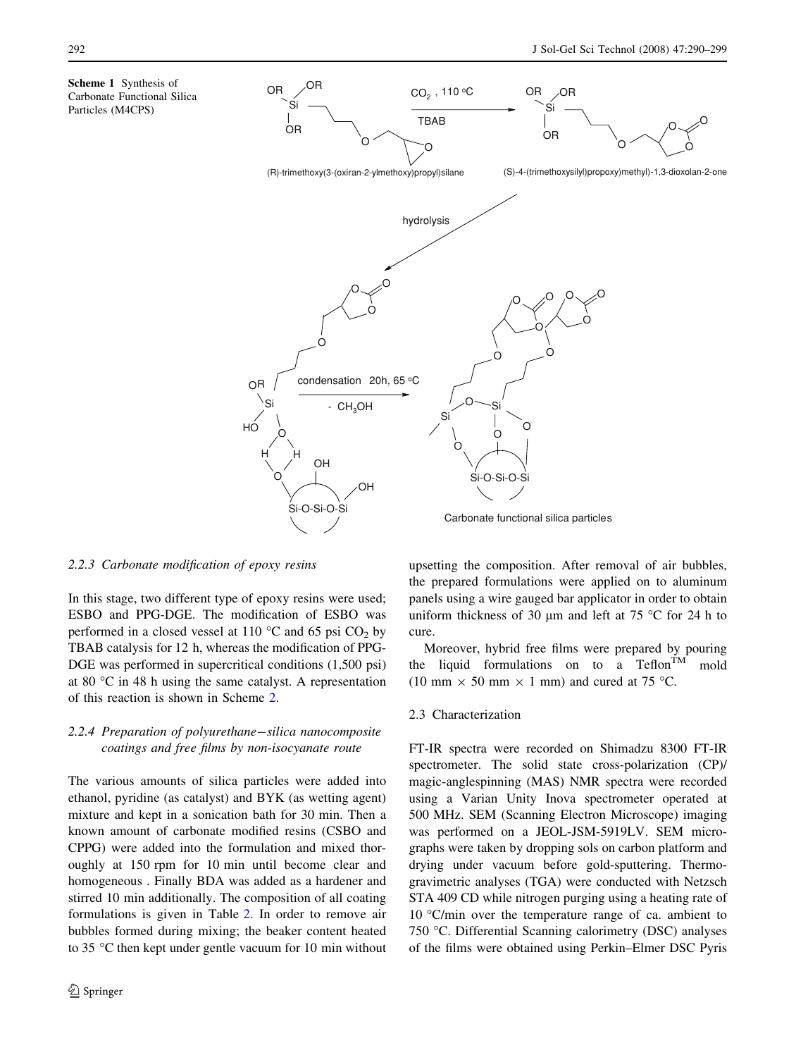<span id="page-2-0"></span>Scheme 1 Synthesis of Carbonate Functional Silica Particles (M4CPS)



2.2.3 Carbonate modification of epoxy resins

In this stage, two different type of epoxy resins were used; ESBO and PPG-DGE. The modification of ESBO was performed in a closed vessel at 110  $^{\circ}$ C and 65 psi CO<sub>2</sub> by TBAB catalysis for 12 h, whereas the modification of PPG-DGE was performed in supercritical conditions (1,500 psi) at 80 °C in 48 h using the same catalyst. A representation of this reaction is shown in Scheme [2](#page-3-0).

# 2.2.4 Preparation of polyurethane-silica nanocomposite coatings and free films by non-isocyanate route

The various amounts of silica particles were added into ethanol, pyridine (as catalyst) and BYK (as wetting agent) mixture and kept in a sonication bath for 30 min. Then a known amount of carbonate modified resins (CSBO and CPPG) were added into the formulation and mixed thoroughly at 150 rpm for 10 min until become clear and homogeneous . Finally BDA was added as a hardener and stirred 10 min additionally. The composition of all coating formulations is given in Table [2](#page-3-0). In order to remove air bubbles formed during mixing; the beaker content heated to 35 °C then kept under gentle vacuum for 10 min without

upsetting the composition. After removal of air bubbles, the prepared formulations were applied on to aluminum panels using a wire gauged bar applicator in order to obtain uniform thickness of 30  $\mu$ m and left at 75 °C for 24 h to cure.

Moreover, hybrid free films were prepared by pouring the liquid formulations on to a Teflon<sup>TM</sup> mold (10 mm  $\times$  50 mm  $\times$  1 mm) and cured at 75 °C.

### 2.3 Characterization

FT-IR spectra were recorded on Shimadzu 8300 FT-IR spectrometer. The solid state cross-polarization (CP)/ magic-anglespinning (MAS) NMR spectra were recorded using a Varian Unity Inova spectrometer operated at 500 MHz. SEM (Scanning Electron Microscope) imaging was performed on a JEOL-JSM-5919LV. SEM micrographs were taken by dropping sols on carbon platform and drying under vacuum before gold-sputtering. Thermogravimetric analyses (TGA) were conducted with Netzsch STA 409 CD while nitrogen purging using a heating rate of 10 °C/min over the temperature range of ca. ambient to 750 °C. Differential Scanning calorimetry (DSC) analyses of the films were obtained using Perkin–Elmer DSC Pyris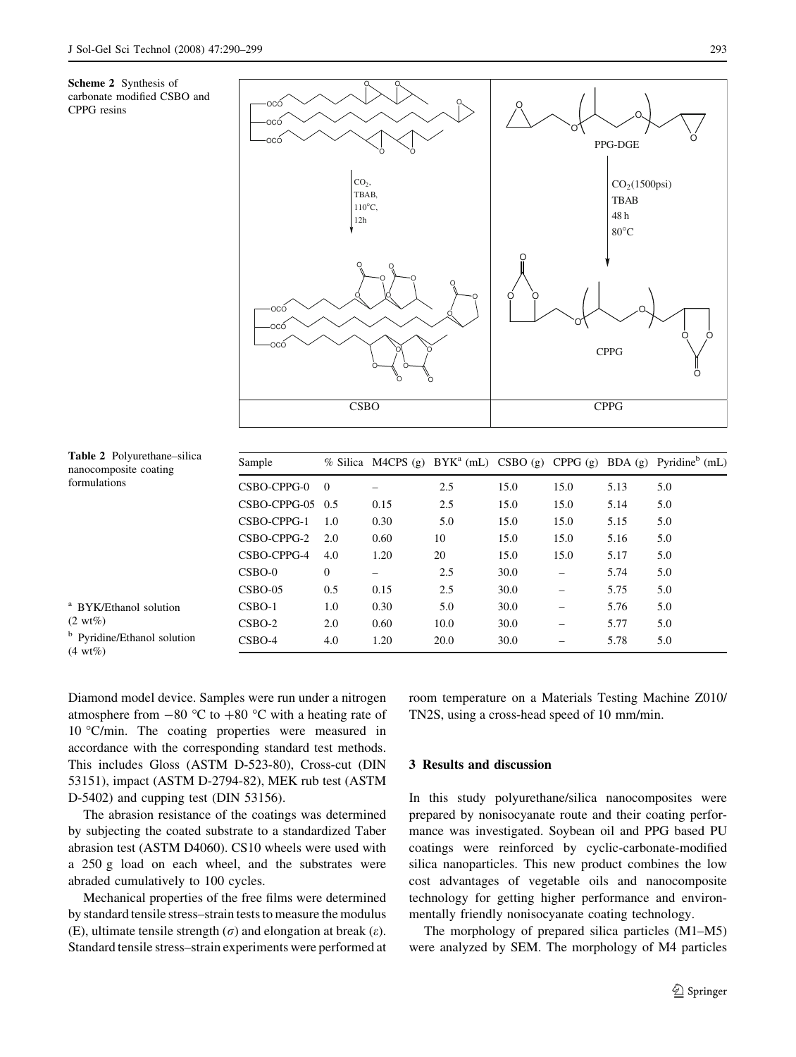<span id="page-3-0"></span>



| <b>Table 2</b> Polyurethane–silica<br>nanocomposite coating<br>formulations | Sample             |              |      |      |      |      |      | % Silica M4CPS (g) BYK <sup>a</sup> (mL) CSBO (g) CPPG (g) BDA (g) Pyridine <sup>b</sup> (mL) |
|-----------------------------------------------------------------------------|--------------------|--------------|------|------|------|------|------|-----------------------------------------------------------------------------------------------|
|                                                                             | CSBO-CPPG-0        | $\Omega$     |      | 2.5  | 15.0 | 15.0 | 5.13 | 5.0                                                                                           |
|                                                                             | $CSBO-CPPG-05$ 0.5 |              | 0.15 | 2.5  | 15.0 | 15.0 | 5.14 | 5.0                                                                                           |
|                                                                             | CSBO-CPPG-1        | 1.0          | 0.30 | 5.0  | 15.0 | 15.0 | 5.15 | 5.0                                                                                           |
|                                                                             | CSBO-CPPG-2        | 2.0          | 0.60 | 10   | 15.0 | 15.0 | 5.16 | 5.0                                                                                           |
|                                                                             | CSBO-CPPG-4        | 4.0          | 1.20 | 20   | 15.0 | 15.0 | 5.17 | 5.0                                                                                           |
|                                                                             | $CSBO-0$           | $\mathbf{0}$ |      | 2.5  | 30.0 | -    | 5.74 | 5.0                                                                                           |
|                                                                             | $CSBO-05$          | 0.5          | 0.15 | 2.5  | 30.0 | -    | 5.75 | 5.0                                                                                           |
| <sup>a</sup> BYK/Ethanol solution<br>$(2 \text{ wt\%})$                     | $CSBO-1$           | 1.0          | 0.30 | 5.0  | 30.0 | -    | 5.76 | 5.0                                                                                           |
|                                                                             | $CSBO-2$           | 2.0          | 0.60 | 10.0 | 30.0 |      | 5.77 | 5.0                                                                                           |
| <sup>b</sup> Pyridine/Ethanol solution                                      | $CSBO-4$           | 4.0          | 1.20 | 20.0 | 30.0 | -    | 5.78 | 5.0                                                                                           |

 $(4 \text{ wt}\%)$ 

Diamond model device. Samples were run under a nitrogen atmosphere from  $-80$  °C to  $+80$  °C with a heating rate of 10 °C/min. The coating properties were measured in accordance with the corresponding standard test methods. This includes Gloss (ASTM D-523-80), Cross-cut (DIN 53151), impact (ASTM D-2794-82), MEK rub test (ASTM D-5402) and cupping test (DIN 53156).

The abrasion resistance of the coatings was determined by subjecting the coated substrate to a standardized Taber abrasion test (ASTM D4060). CS10 wheels were used with a 250 g load on each wheel, and the substrates were abraded cumulatively to 100 cycles.

Mechanical properties of the free films were determined by standard tensile stress–strain tests to measure the modulus (E), ultimate tensile strength  $(\sigma)$  and elongation at break  $(\varepsilon)$ . Standard tensile stress–strain experiments were performed at room temperature on a Materials Testing Machine Z010/ TN2S, using a cross-head speed of 10 mm/min.

### 3 Results and discussion

In this study polyurethane/silica nanocomposites were prepared by nonisocyanate route and their coating performance was investigated. Soybean oil and PPG based PU coatings were reinforced by cyclic-carbonate-modified silica nanoparticles. This new product combines the low cost advantages of vegetable oils and nanocomposite technology for getting higher performance and environmentally friendly nonisocyanate coating technology.

The morphology of prepared silica particles (M1–M5) were analyzed by SEM. The morphology of M4 particles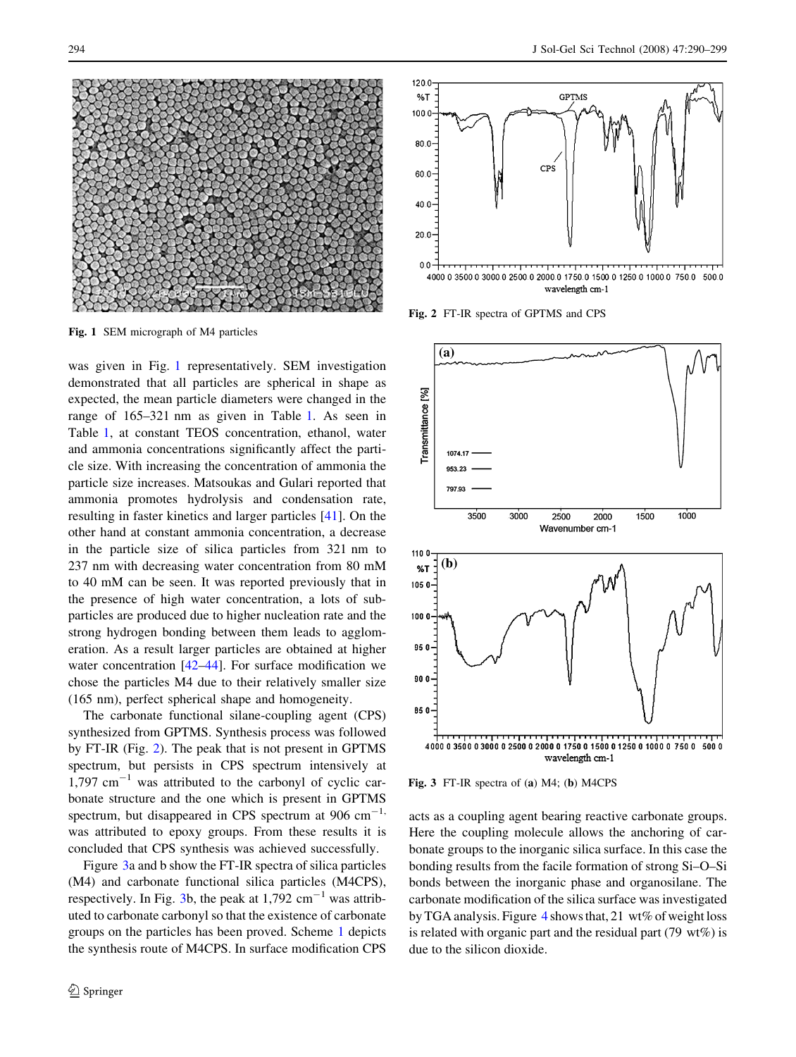

Fig. 1 SEM micrograph of M4 particles

was given in Fig. 1 representatively. SEM investigation demonstrated that all particles are spherical in shape as expected, the mean particle diameters were changed in the range of 165–321 nm as given in Table [1](#page-1-0). As seen in Table [1](#page-1-0), at constant TEOS concentration, ethanol, water and ammonia concentrations significantly affect the particle size. With increasing the concentration of ammonia the particle size increases. Matsoukas and Gulari reported that ammonia promotes hydrolysis and condensation rate, resulting in faster kinetics and larger particles [\[41](#page-9-0)]. On the other hand at constant ammonia concentration, a decrease in the particle size of silica particles from 321 nm to 237 nm with decreasing water concentration from 80 mM to 40 mM can be seen. It was reported previously that in the presence of high water concentration, a lots of subparticles are produced due to higher nucleation rate and the strong hydrogen bonding between them leads to agglomeration. As a result larger particles are obtained at higher water concentration [[42–44\]](#page-9-0). For surface modification we chose the particles M4 due to their relatively smaller size (165 nm), perfect spherical shape and homogeneity.

The carbonate functional silane-coupling agent (CPS) synthesized from GPTMS. Synthesis process was followed by FT-IR (Fig. 2). The peak that is not present in GPTMS spectrum, but persists in CPS spectrum intensively at  $1,797$  cm<sup>-1</sup> was attributed to the carbonyl of cyclic carbonate structure and the one which is present in GPTMS spectrum, but disappeared in CPS spectrum at  $906 \text{ cm}^{-1}$ , was attributed to epoxy groups. From these results it is concluded that CPS synthesis was achieved successfully.

Figure 3a and b show the FT-IR spectra of silica particles (M4) and carbonate functional silica particles (M4CPS), respectively. In Fig. 3b, the peak at  $1,792 \text{ cm}^{-1}$  was attributed to carbonate carbonyl so that the existence of carbonate groups on the particles has been proved. Scheme [1](#page-2-0) depicts the synthesis route of M4CPS. In surface modification CPS



Fig. 2 FT-IR spectra of GPTMS and CPS



Fig. 3 FT-IR spectra of (a) M4; (b) M4CPS

acts as a coupling agent bearing reactive carbonate groups. Here the coupling molecule allows the anchoring of carbonate groups to the inorganic silica surface. In this case the bonding results from the facile formation of strong Si–O–Si bonds between the inorganic phase and organosilane. The carbonate modification of the silica surface was investigated by TGA analysis. Figure [4](#page-5-0) shows that, 21 wt% of weight loss is related with organic part and the residual part (79 wt%) is due to the silicon dioxide.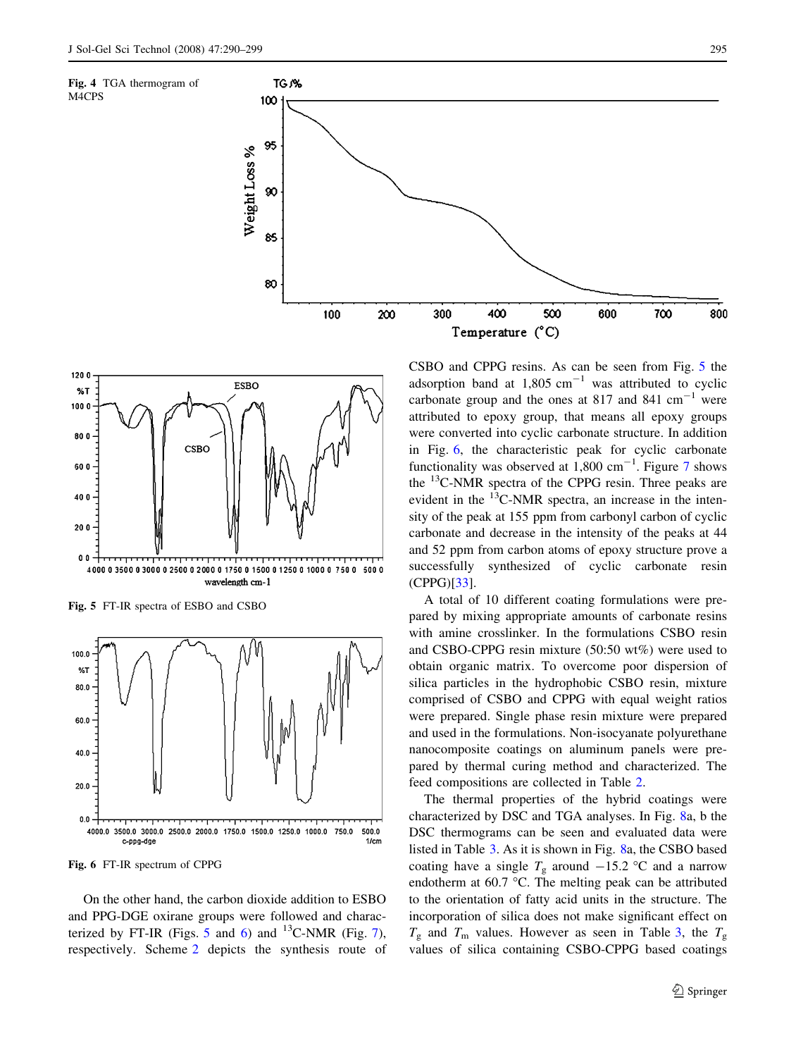<span id="page-5-0"></span>



Fig. 5 FT-IR spectra of ESBO and CSBO



Fig. 6 FT-IR spectrum of CPPG

On the other hand, the carbon dioxide addition to ESBO and PPG-DGE oxirane groups were followed and characterized by FT-IR (Figs. 5 and 6) and  $^{13}$ C-NMR (Fig. [7](#page-6-0)), respectively. Scheme [2](#page-3-0) depicts the synthesis route of CSBO and CPPG resins. As can be seen from Fig. 5 the adsorption band at  $1,805$  cm<sup>-1</sup> was attributed to cyclic carbonate group and the ones at 817 and 841  $\text{cm}^{-1}$  were attributed to epoxy group, that means all epoxy groups were converted into cyclic carbonate structure. In addition in Fig. 6, the characteristic peak for cyclic carbonate functionality was observed at  $1,800 \text{ cm}^{-1}$ . Figure [7](#page-6-0) shows the 13C-NMR spectra of the CPPG resin. Three peaks are evident in the  $^{13}$ C-NMR spectra, an increase in the intensity of the peak at 155 ppm from carbonyl carbon of cyclic carbonate and decrease in the intensity of the peaks at 44 and 52 ppm from carbon atoms of epoxy structure prove a successfully synthesized of cyclic carbonate resin (CPPG)[[33\]](#page-9-0).

A total of 10 different coating formulations were prepared by mixing appropriate amounts of carbonate resins with amine crosslinker. In the formulations CSBO resin and CSBO-CPPG resin mixture (50:50 wt%) were used to obtain organic matrix. To overcome poor dispersion of silica particles in the hydrophobic CSBO resin, mixture comprised of CSBO and CPPG with equal weight ratios were prepared. Single phase resin mixture were prepared and used in the formulations. Non-isocyanate polyurethane nanocomposite coatings on aluminum panels were prepared by thermal curing method and characterized. The feed compositions are collected in Table [2.](#page-3-0)

The thermal properties of the hybrid coatings were characterized by DSC and TGA analyses. In Fig. [8a](#page-6-0), b the DSC thermograms can be seen and evaluated data were listed in Table [3.](#page-6-0) As it is shown in Fig. [8](#page-6-0)a, the CSBO based coating have a single  $T_g$  around  $-15.2$  °C and a narrow endotherm at  $60.7$  °C. The melting peak can be attributed to the orientation of fatty acid units in the structure. The incorporation of silica does not make significant effect on  $T_g$  and  $T_m$  values. However as seen in Table [3](#page-6-0), the  $T_g$ values of silica containing CSBO-CPPG based coatings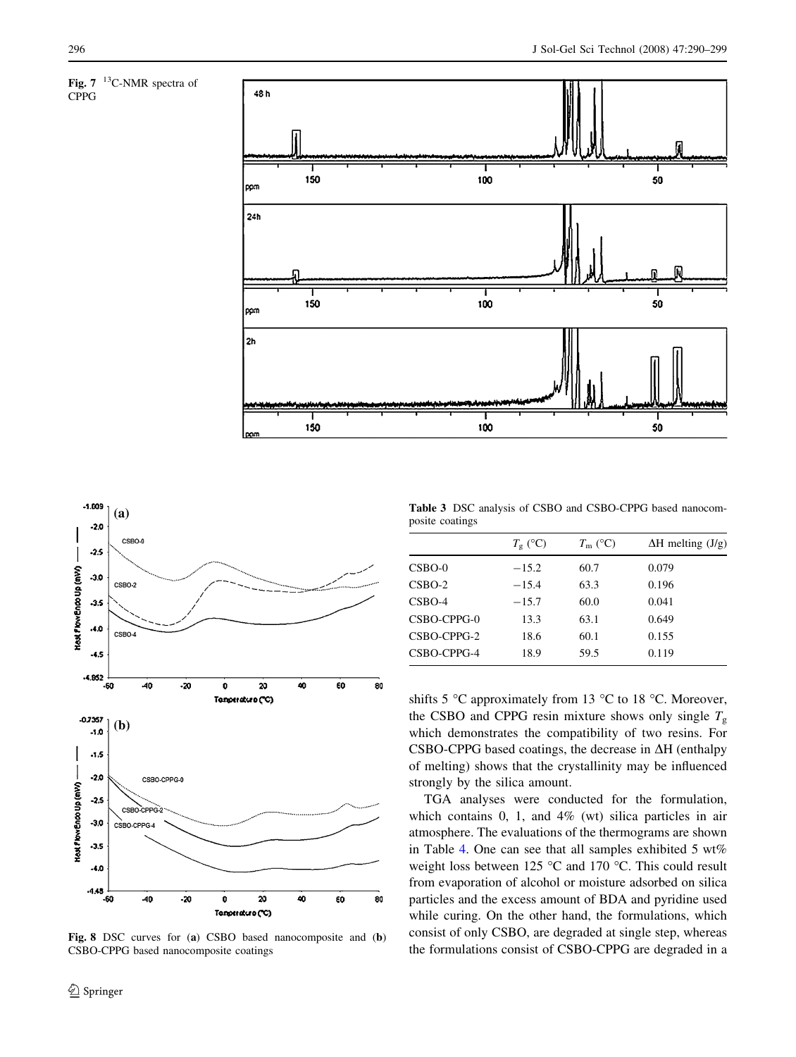

<span id="page-6-0"></span>





Fig. 8 DSC curves for (a) CSBO based nanocomposite and (b) CSBO-CPPG based nanocomposite coatings

Table 3 DSC analysis of CSBO and CSBO-CPPG based nanocomposite coatings

|             | $T_{\rm g}$ (°C) | $T_{\rm m}$ (°C) | $\Delta H$ melting $(J/g)$ |
|-------------|------------------|------------------|----------------------------|
| $CSBO-0$    | $-15.2$          | 60.7             | 0.079                      |
| $CSBO-2$    | $-15.4$          | 63.3             | 0.196                      |
| $CSBO-4$    | $-15.7$          | 60.0             | 0.041                      |
| CSBO-CPPG-0 | 13.3             | 63.1             | 0.649                      |
| CSBO-CPPG-2 | 18.6             | 60.1             | 0.155                      |
| CSBO-CPPG-4 | 18.9             | 59.5             | 0.119                      |

shifts 5  $\degree$ C approximately from 13  $\degree$ C to 18  $\degree$ C. Moreover, the CSBO and CPPG resin mixture shows only single  $T<sub>g</sub>$ which demonstrates the compatibility of two resins. For CSBO-CPPG based coatings, the decrease in  $\Delta H$  (enthalpy of melting) shows that the crystallinity may be influenced strongly by the silica amount.

TGA analyses were conducted for the formulation, which contains 0, 1, and 4% (wt) silica particles in air atmosphere. The evaluations of the thermograms are shown in Table [4.](#page-7-0) One can see that all samples exhibited 5 wt% weight loss between 125  $\degree$ C and 170  $\degree$ C. This could result from evaporation of alcohol or moisture adsorbed on silica particles and the excess amount of BDA and pyridine used while curing. On the other hand, the formulations, which consist of only CSBO, are degraded at single step, whereas the formulations consist of CSBO-CPPG are degraded in a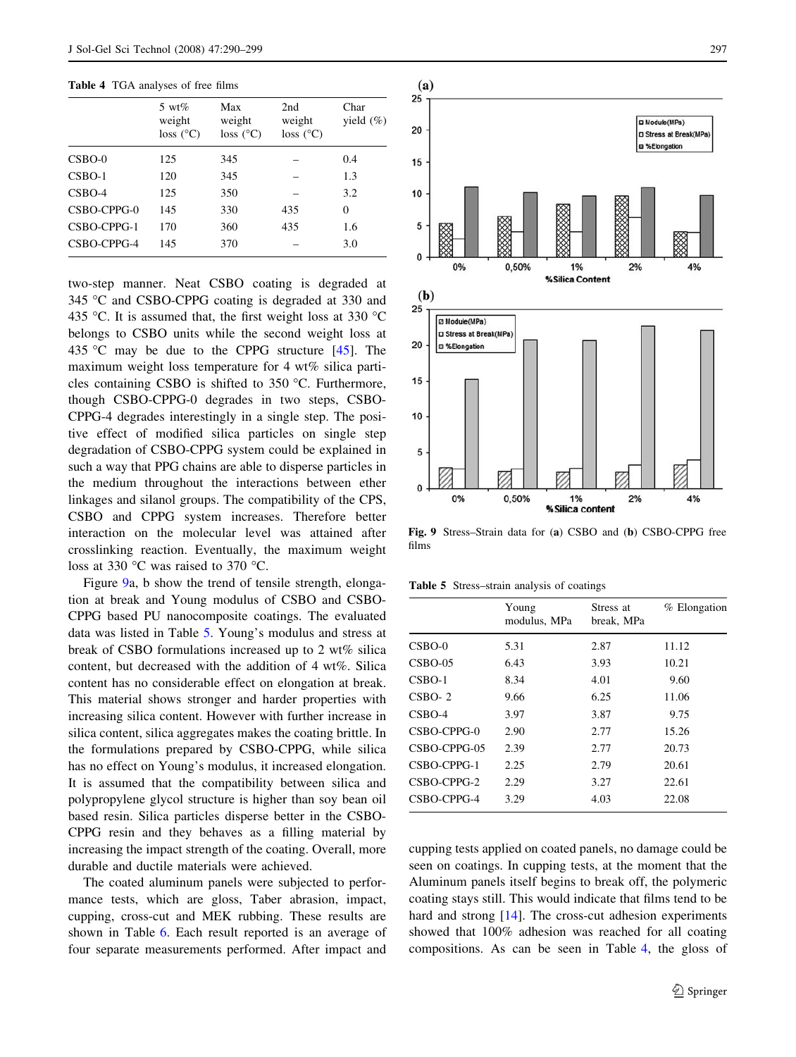### <span id="page-7-0"></span>Table 4 TGA analyses of free films

|             | 5 wt $%$<br>weight<br>loss (°C) | Max<br>weight<br>$loss$ ( $^{\circ}$ C) | 2nd<br>weight<br>loss (°C) | Char<br>yield $(\%)$ |
|-------------|---------------------------------|-----------------------------------------|----------------------------|----------------------|
| $CSBO-0$    | 125                             | 345                                     |                            | 0.4                  |
| $CSBO-1$    | 120                             | 345                                     |                            | 1.3                  |
| $CSBO-4$    | 125                             | 350                                     |                            | 3.2                  |
| CSBO-CPPG-0 | 145                             | 330                                     | 435                        | $\theta$             |
| CSBO-CPPG-1 | 170                             | 360                                     | 435                        | 1.6                  |
| CSBO-CPPG-4 | 145                             | 370                                     |                            | 3.0                  |

two-step manner. Neat CSBO coating is degraded at 345 °C and CSBO-CPPG coating is degraded at 330 and 435 °C. It is assumed that, the first weight loss at 330 °C belongs to CSBO units while the second weight loss at 435 °C may be due to the CPPG structure  $[45]$  $[45]$ . The maximum weight loss temperature for 4 wt% silica particles containing CSBO is shifted to  $350$  °C. Furthermore, though CSBO-CPPG-0 degrades in two steps, CSBO-CPPG-4 degrades interestingly in a single step. The positive effect of modified silica particles on single step degradation of CSBO-CPPG system could be explained in such a way that PPG chains are able to disperse particles in the medium throughout the interactions between ether linkages and silanol groups. The compatibility of the CPS, CSBO and CPPG system increases. Therefore better interaction on the molecular level was attained after crosslinking reaction. Eventually, the maximum weight loss at 330  $\degree$ C was raised to 370  $\degree$ C.

Figure 9a, b show the trend of tensile strength, elongation at break and Young modulus of CSBO and CSBO-CPPG based PU nanocomposite coatings. The evaluated data was listed in Table 5. Young's modulus and stress at break of CSBO formulations increased up to 2 wt% silica content, but decreased with the addition of 4 wt%. Silica content has no considerable effect on elongation at break. This material shows stronger and harder properties with increasing silica content. However with further increase in silica content, silica aggregates makes the coating brittle. In the formulations prepared by CSBO-CPPG, while silica has no effect on Young's modulus, it increased elongation. It is assumed that the compatibility between silica and polypropylene glycol structure is higher than soy bean oil based resin. Silica particles disperse better in the CSBO-CPPG resin and they behaves as a filling material by increasing the impact strength of the coating. Overall, more durable and ductile materials were achieved.

The coated aluminum panels were subjected to performance tests, which are gloss, Taber abrasion, impact, cupping, cross-cut and MEK rubbing. These results are shown in Table [6.](#page-8-0) Each result reported is an average of four separate measurements performed. After impact and



Fig. 9 Stress–Strain data for (a) CSBO and (b) CSBO-CPPG free films

Table 5 Stress–strain analysis of coatings

|              | Young<br>modulus, MPa | Stress at<br>break, MPa | $%$ Elongation |
|--------------|-----------------------|-------------------------|----------------|
| $CSBO-0$     | 5.31                  | 2.87                    | 11.12          |
| $CSBO-05$    | 6.43                  | 3.93                    | 10.21          |
| $CSBO-1$     | 8.34                  | 4.01                    | 9.60           |
| $CSBO-2$     | 9.66                  | 6.25                    | 11.06          |
| $CSBO-4$     | 3.97                  | 3.87                    | 9.75           |
| CSBO-CPPG-0  | 2.90                  | 2.77                    | 15.26          |
| CSBO-CPPG-05 | 2.39                  | 2.77                    | 20.73          |
| CSBO-CPPG-1  | 2.25                  | 2.79                    | 20.61          |
| CSBO-CPPG-2  | 2.29                  | 3.27                    | 22.61          |
| CSBO-CPPG-4  | 3.29                  | 4.03                    | 22.08          |

cupping tests applied on coated panels, no damage could be seen on coatings. In cupping tests, at the moment that the Aluminum panels itself begins to break off, the polymeric coating stays still. This would indicate that films tend to be hard and strong [[14\]](#page-9-0). The cross-cut adhesion experiments showed that 100% adhesion was reached for all coating compositions. As can be seen in Table 4, the gloss of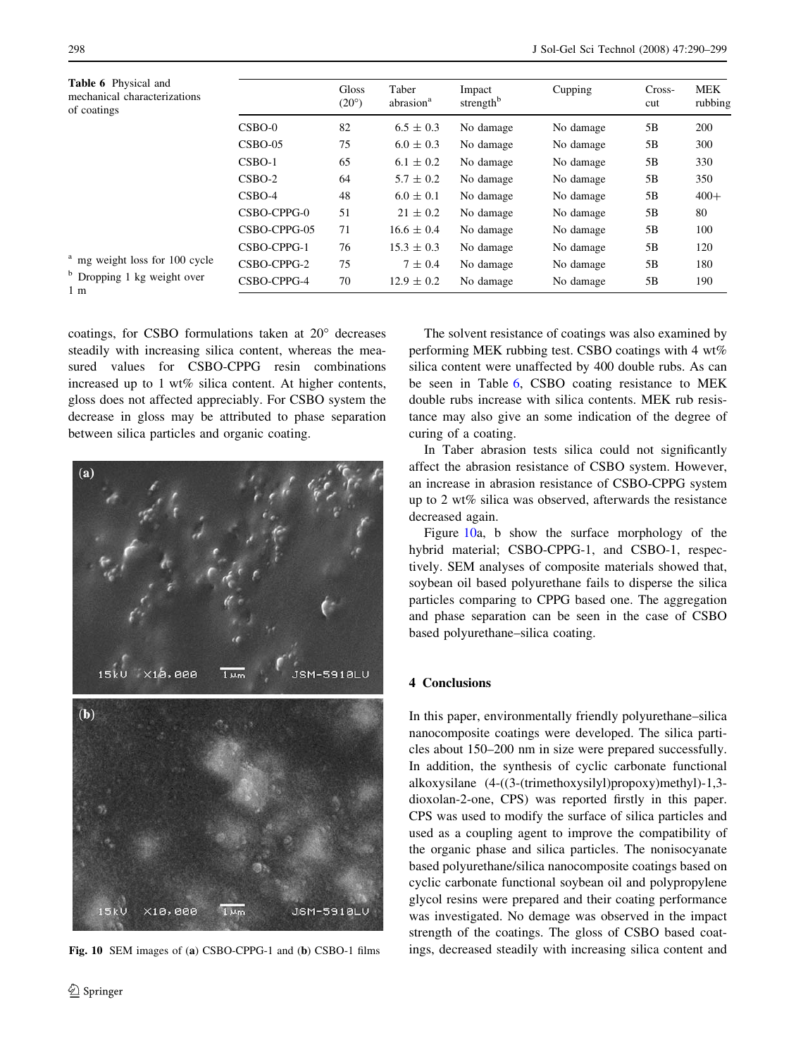<span id="page-8-0"></span>

| <b>Table 6</b> Physical and<br>mechanical characterizations<br>of coatings |              | Gloss<br>$(20^{\circ})$ | Taber<br>abrasion <sup>a</sup> | Impact<br>strength <sup>b</sup> | Cupping   | Cross-<br>cut | MEK<br>rubbing |
|----------------------------------------------------------------------------|--------------|-------------------------|--------------------------------|---------------------------------|-----------|---------------|----------------|
|                                                                            | $CSBO-0$     | 82                      | $6.5 \pm 0.3$                  | No damage                       | No damage | 5B            | 200            |
|                                                                            | $CSBO-05$    | 75                      | $6.0 \pm 0.3$                  | No damage                       | No damage | 5B            | 300            |
|                                                                            | $CSBO-1$     | 65                      | $6.1 \pm 0.2$                  | No damage                       | No damage | 5B            | 330            |
|                                                                            | $CSBO-2$     | 64                      | $5.7 \pm 0.2$                  | No damage                       | No damage | 5B            | 350            |
|                                                                            | $CSBO-4$     | 48                      | $6.0 \pm 0.1$                  | No damage                       | No damage | 5B            | $400+$         |
|                                                                            | CSBO-CPPG-0  | 51                      | $21 \pm 0.2$                   | No damage                       | No damage | 5B            | 80             |
|                                                                            | CSBO-CPPG-05 | 71                      | $16.6 \pm 0.4$                 | No damage                       | No damage | 5B            | 100            |
| <sup>a</sup> mg weight loss for 100 cycle                                  | CSBO-CPPG-1  | 76                      | $15.3 \pm 0.3$                 | No damage                       | No damage | 5B            | 120            |
|                                                                            | CSBO-CPPG-2  | 75                      | $7 \pm 0.4$                    | No damage                       | No damage | 5B            | 180            |
| <sup>b</sup> Dropping 1 kg weight over<br>l m                              | CSBO-CPPG-4  | 70                      | $12.9 \pm 0.2$                 | No damage                       | No damage | 5B            | 190            |

1 m

coatings, for CSBO formulations taken at 20° decreases steadily with increasing silica content, whereas the measured values for CSBO-CPPG resin combinations increased up to 1 wt% silica content. At higher contents, gloss does not affected appreciably. For CSBO system the decrease in gloss may be attributed to phase separation between silica particles and organic coating.



Fig. 10 SEM images of (a) CSBO-CPPG-1 and (b) CSBO-1 films

The solvent resistance of coatings was also examined by performing MEK rubbing test. CSBO coatings with 4 wt% silica content were unaffected by 400 double rubs. As can be seen in Table 6, CSBO coating resistance to MEK double rubs increase with silica contents. MEK rub resistance may also give an some indication of the degree of curing of a coating.

In Taber abrasion tests silica could not significantly affect the abrasion resistance of CSBO system. However, an increase in abrasion resistance of CSBO-CPPG system up to 2 wt% silica was observed, afterwards the resistance decreased again.

Figure 10a, b show the surface morphology of the hybrid material; CSBO-CPPG-1, and CSBO-1, respectively. SEM analyses of composite materials showed that, soybean oil based polyurethane fails to disperse the silica particles comparing to CPPG based one. The aggregation and phase separation can be seen in the case of CSBO based polyurethane–silica coating.

# 4 Conclusions

In this paper, environmentally friendly polyurethane–silica nanocomposite coatings were developed. The silica particles about 150–200 nm in size were prepared successfully. In addition, the synthesis of cyclic carbonate functional alkoxysilane (4-((3-(trimethoxysilyl)propoxy)methyl)-1,3 dioxolan-2-one, CPS) was reported firstly in this paper. CPS was used to modify the surface of silica particles and used as a coupling agent to improve the compatibility of the organic phase and silica particles. The nonisocyanate based polyurethane/silica nanocomposite coatings based on cyclic carbonate functional soybean oil and polypropylene glycol resins were prepared and their coating performance was investigated. No demage was observed in the impact strength of the coatings. The gloss of CSBO based coatings, decreased steadily with increasing silica content and